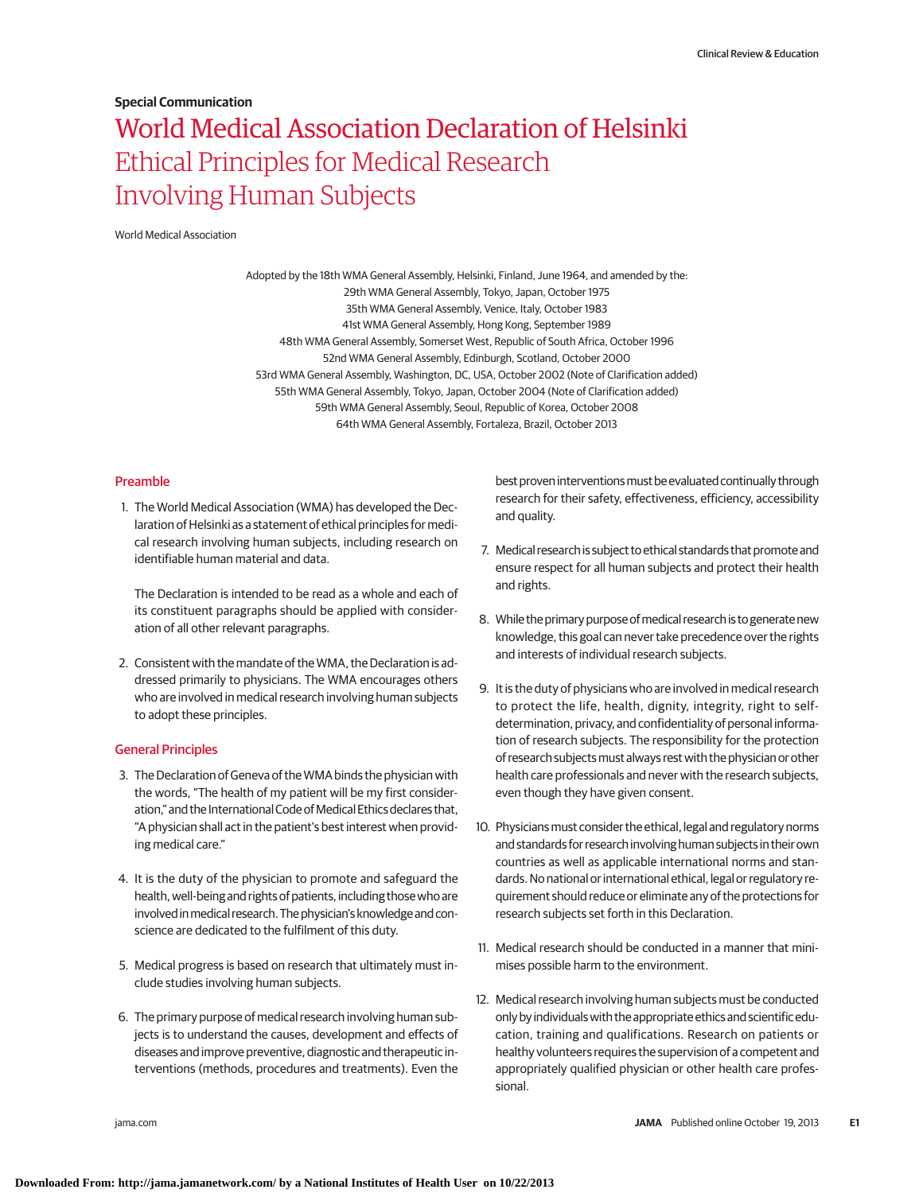# World Medical Association Declaration of Helsinki Ethical Principles for Medical Research Involving Human Subjects **Special Communication**

World Medical Association

Adopted by the 18th WMA General Assembly, Helsinki, Finland, June 1964, and amended by the: 29th WMA General Assembly, Tokyo, Japan, October 1975 35th WMA General Assembly, Venice, Italy, October 1983 41st WMA General Assembly, Hong Kong, September 1989 48th WMA General Assembly, Somerset West, Republic of South Africa, October 1996 52nd WMA General Assembly, Edinburgh, Scotland, October 2000 53rd WMA General Assembly, Washington, DC, USA, October 2002 (Note of Clarification added) 55th WMA General Assembly, Tokyo, Japan, October 2004 (Note of Clarification added) 59th WMA General Assembly, Seoul, Republic of Korea, October 2008 64th WMA General Assembly, Fortaleza, Brazil, October 2013

# Preamble

1. The World Medical Association (WMA) has developed the Declaration of Helsinki as a statement of ethical principles for medical research involving human subjects, including research on identifiable human material and data.

The Declaration is intended to be read as a whole and each of its constituent paragraphs should be applied with consideration of all other relevant paragraphs.

2. Consistent with the mandate of theWMA, the Declaration is addressed primarily to physicians. The WMA encourages others who are involved in medical research involving human subjects to adopt these principles.

#### General Principles

- 3. The Declaration of Geneva of theWMA binds the physician with the words, "The health of my patient will be my first consideration," and the International Code of Medical Ethics declares that, "A physician shall act in the patient's best interest when providing medical care."
- 4. It is the duty of the physician to promote and safeguard the health, well-being and rights of patients, including those who are involved in medical research. The physician's knowledge and conscience are dedicated to the fulfilment of this duty.
- 5. Medical progress is based on research that ultimately must include studies involving human subjects.
- 6. The primary purpose of medical research involving human subjects is to understand the causes, development and effects of diseases and improve preventive, diagnostic and therapeutic interventions (methods, procedures and treatments). Even the

best proven interventions must be evaluated continually through research for their safety, effectiveness, efficiency, accessibility and quality.

- 7. Medical research is subject toethical standards that promote and ensure respect for all human subjects and protect their health and rights.
- 8. While the primary purpose of medical research is to generate new knowledge, this goal can never take precedence over the rights and interests of individual research subjects.
- 9. It is the duty of physicians who are involved in medical research to protect the life, health, dignity, integrity, right to selfdetermination, privacy, and confidentiality of personal information of research subjects. The responsibility for the protection of research subjectsmust always rest with the physician or other health care professionals and never with the research subjects, even though they have given consent.
- 10. Physicians must consider the ethical, legal and regulatory norms and standards for research involving human subjects in their own countries as well as applicable international norms and standards. No national or international ethical, legal or regulatory requirement should reduce or eliminate any of the protections for research subjects set forth in this Declaration.
- 11. Medical research should be conducted in a manner that minimises possible harm to the environment.
- 12. Medical research involving human subjects must be conducted only by individuals with the appropriate ethics and scientific education, training and qualifications. Research on patients or healthy volunteers requires the supervision of a competent and appropriately qualified physician or other health care professional.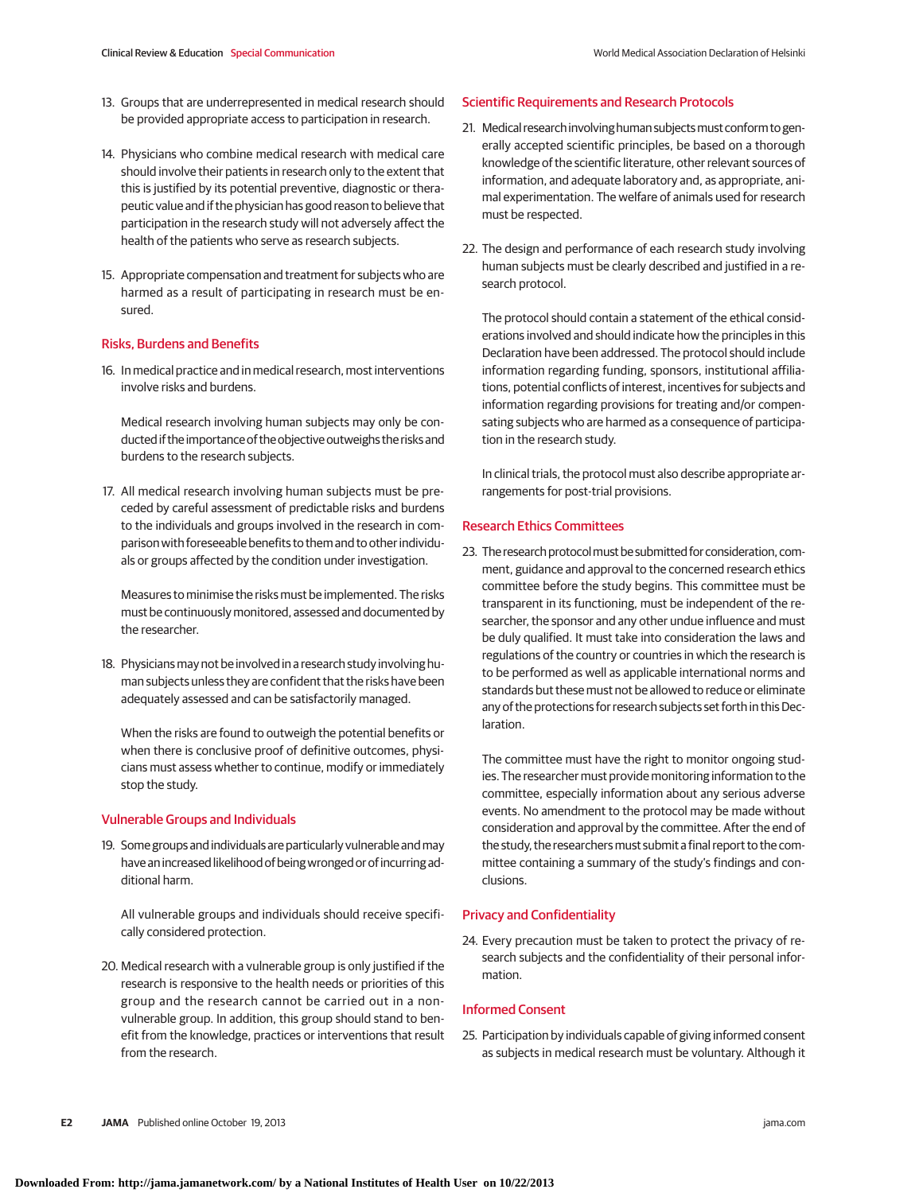- 13. Groups that are underrepresented in medical research should be provided appropriate access to participation in research.
- 14. Physicians who combine medical research with medical care should involve their patients in research only to the extent that this is justified by its potential preventive, diagnostic or therapeutic value and if the physician has good reason to believe that participation in the research study will not adversely affect the health of the patients who serve as research subjects.
- 15. Appropriate compensation and treatment for subjects who are harmed as a result of participating in research must be ensured.

## Risks, Burdens and Benefits

16. In medical practice and in medical research, most interventions involve risks and burdens.

Medical research involving human subjects may only be conducted if the importance of the objective outweighs the risks and burdens to the research subjects.

17. All medical research involving human subjects must be preceded by careful assessment of predictable risks and burdens to the individuals and groups involved in the research in comparison with foreseeable benefits to them and to other individuals or groups affected by the condition under investigation.

Measures to minimise the risks must be implemented. The risks must be continuously monitored, assessed and documented by the researcher.

18. Physicians may not be involvedin a research study involving human subjects unless they are confident that the risks have been adequately assessed and can be satisfactorily managed.

When the risks are found to outweigh the potential benefits or when there is conclusive proof of definitive outcomes, physicians must assess whether to continue, modify or immediately stop the study.

# Vulnerable Groups and Individuals

19. Some groups and individuals are particularly vulnerable andmay have an increased likelihood of being wronged or of incurring additional harm.

All vulnerable groups and individuals should receive specifically considered protection.

20. Medical research with a vulnerable group is only justified if the research is responsive to the health needs or priorities of this group and the research cannot be carried out in a nonvulnerable group. In addition, this group should stand to benefit from the knowledge, practices or interventions that result from the research.

#### Scientific Requirements and Research Protocols

- 21. Medical research involving human subjectsmust conform to generally accepted scientific principles, be based on a thorough knowledge of the scientific literature, other relevant sources of information, and adequate laboratory and, as appropriate, animal experimentation. The welfare of animals used for research must be respected.
- 22. The design and performance of each research study involving human subjects must be clearly described and justified in a research protocol.

The protocol should contain a statement of the ethical considerations involved and should indicate how the principles in this Declaration have been addressed. The protocol should include information regarding funding, sponsors, institutional affiliations, potential conflicts of interest, incentives for subjects and information regarding provisions for treating and/or compensating subjects who are harmed as a consequence of participation in the research study.

In clinical trials, the protocol must also describe appropriate arrangements for post-trial provisions.

# Research Ethics Committees

23. The research protocolmust be submitted for consideration, comment, guidance and approval to the concerned research ethics committee before the study begins. This committee must be transparent in its functioning, must be independent of the researcher, the sponsor and any other undue influence and must be duly qualified. It must take into consideration the laws and regulations of the country or countries in which the research is to be performed as well as applicable international norms and standards but these must not be allowed to reduce or eliminate any of the protections for research subjects set forth in this Declaration.

The committee must have the right to monitor ongoing studies. The researcher must provide monitoring information to the committee, especially information about any serious adverse events. No amendment to the protocol may be made without consideration and approval by the committee. After the end of the study, the researchers must submit a final report to the committee containing a summary of the study's findings and conclusions.

### Privacy and Confidentiality

24. Every precaution must be taken to protect the privacy of research subjects and the confidentiality of their personal information.

# Informed Consent

25. Participation by individuals capable of giving informed consent as subjects in medical research must be voluntary. Although it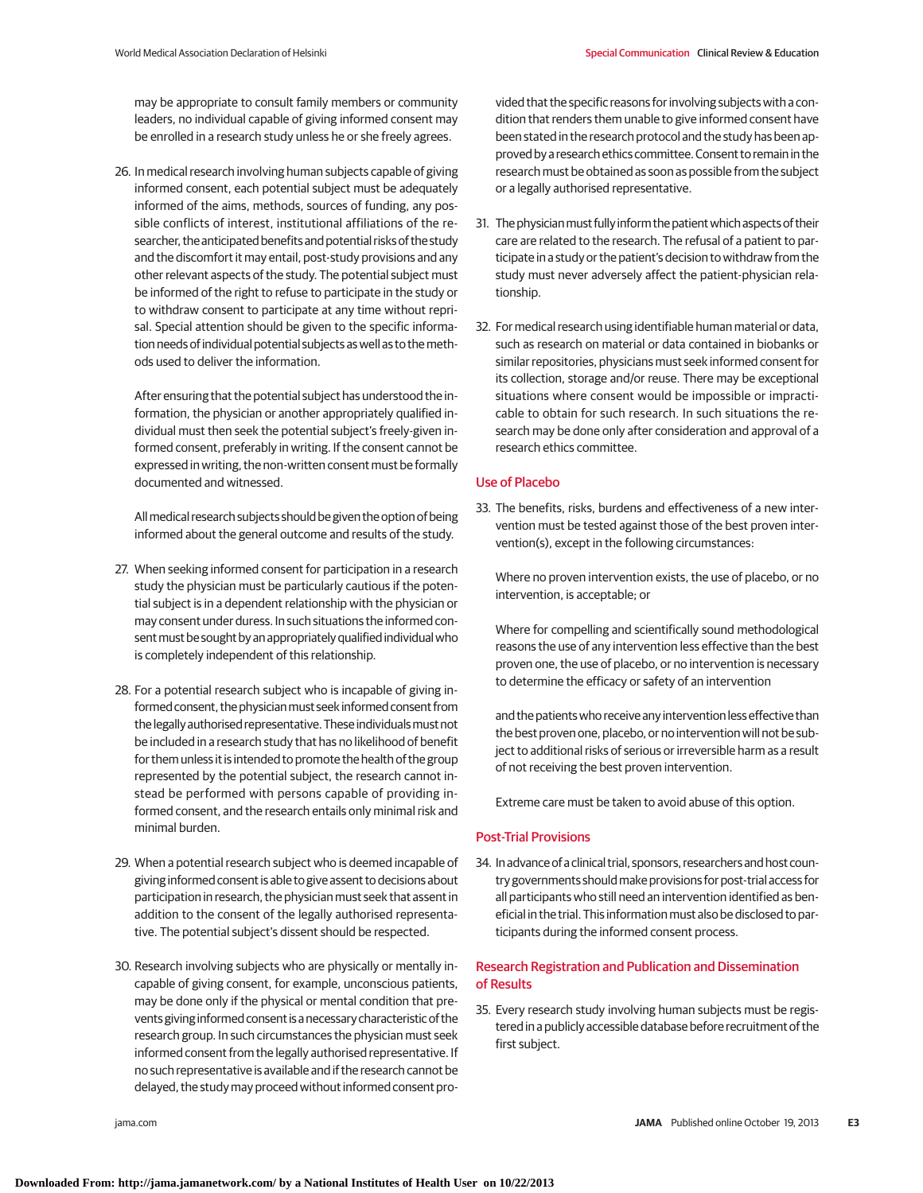may be appropriate to consult family members or community leaders, no individual capable of giving informed consent may be enrolled in a research study unless he or she freely agrees.

26. In medical research involving human subjects capable of giving informed consent, each potential subject must be adequately informed of the aims, methods, sources of funding, any possible conflicts of interest, institutional affiliations of the researcher, the anticipated benefits and potential risks of the study and the discomfort it may entail, post-study provisions and any other relevant aspects of the study. The potential subject must be informed of the right to refuse to participate in the study or to withdraw consent to participate at any time without reprisal. Special attention should be given to the specific information needs of individual potential subjects as well as to themethods used to deliver the information.

After ensuring that the potential subject has understood the information, the physician or another appropriately qualified individual must then seek the potential subject's freely-given informed consent, preferably in writing. If the consent cannot be expressed in writing, the non-written consent must be formally documented and witnessed.

Allmedical research subjects should be given the option of being informed about the general outcome and results of the study.

- 27. When seeking informed consent for participation in a research study the physician must be particularly cautious if the potential subject is in a dependent relationship with the physician or may consent under duress. In such situations the informed consent must be sought by an appropriately qualified individual who is completely independent of this relationship.
- 28. For a potential research subject who is incapable of giving informed consent, the physician must seek informed consent from the legally authorised representative. These individuals must not be included in a research study that has no likelihood of benefit for them unless it is intended to promote the health of the group represented by the potential subject, the research cannot instead be performed with persons capable of providing informed consent, and the research entails only minimal risk and minimal burden.
- 29. When a potential research subject who is deemed incapable of giving informed consent is able to give assent to decisions about participation in research, the physician must seek that assent in addition to the consent of the legally authorised representative. The potential subject's dissent should be respected.
- 30. Research involving subjects who are physically or mentally incapable of giving consent, for example, unconscious patients, may be done only if the physical or mental condition that prevents giving informed consent is a necessary characteristic of the research group. In such circumstances the physician must seek informed consent from the legally authorised representative. If no such representative is available and if the research cannot be delayed, the study may proceed without informed consent pro-

vided that the specific reasons for involving subjects with a condition that renders them unable to give informed consent have been stated in the research protocol and the study has been approved by a research ethics committee. Consent to remain in the research must be obtained as soon as possible from the subject or a legally authorised representative.

- 31. The physician must fully inform the patient which aspects of their care are related to the research. The refusal of a patient to participate in a study or the patient's decision to withdraw from the study must never adversely affect the patient-physician relationship.
- 32. For medical research using identifiable human material or data, such as research on material or data contained in biobanks or similar repositories, physicians must seek informed consent for its collection, storage and/or reuse. There may be exceptional situations where consent would be impossible or impracticable to obtain for such research. In such situations the research may be done only after consideration and approval of a research ethics committee.

# Use of Placebo

33. The benefits, risks, burdens and effectiveness of a new intervention must be tested against those of the best proven intervention(s), except in the following circumstances:

Where no proven intervention exists, the use of placebo, or no intervention, is acceptable; or

Where for compelling and scientifically sound methodological reasons the use of any intervention less effective than the best proven one, the use of placebo, or no intervention is necessary to determine the efficacy or safety of an intervention

and the patients who receive any intervention less effective than the best proven one, placebo, or no intervention will not be subject to additional risks of serious or irreversible harm as a result of not receiving the best proven intervention.

Extreme care must be taken to avoid abuse of this option.

# Post-Trial Provisions

34. In advance of a clinical trial, sponsors, researchers and host country governments shouldmake provisions for post-trial access for all participants who still need an intervention identified as beneficial in the trial. This information must also be disclosed to participants during the informed consent process.

# Research Registration and Publication and Dissemination of Results

35. Every research study involving human subjects must be registered in a publicly accessible database before recruitment of the first subject.